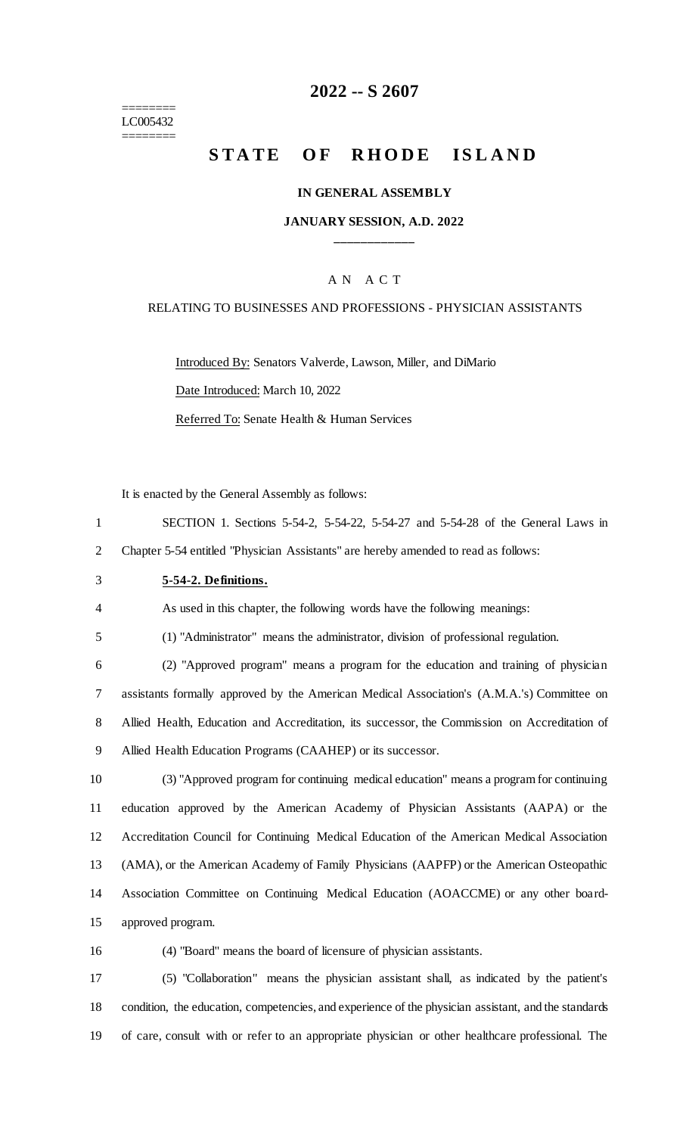======== LC005432 ========

### **-- S 2607**

# **STATE OF RHODE ISLAND**

#### **IN GENERAL ASSEMBLY**

### **JANUARY SESSION, A.D. 2022 \_\_\_\_\_\_\_\_\_\_\_\_**

### A N A C T

#### RELATING TO BUSINESSES AND PROFESSIONS - PHYSICIAN ASSISTANTS

Introduced By: Senators Valverde, Lawson, Miller, and DiMario

Date Introduced: March 10, 2022

Referred To: Senate Health & Human Services

It is enacted by the General Assembly as follows:

 SECTION 1. Sections 5-54-2, 5-54-22, 5-54-27 and 5-54-28 of the General Laws in Chapter 5-54 entitled "Physician Assistants" are hereby amended to read as follows:

**5-54-2. Definitions.**

As used in this chapter, the following words have the following meanings:

(1) "Administrator" means the administrator, division of professional regulation.

 (2) "Approved program" means a program for the education and training of physician assistants formally approved by the American Medical Association's (A.M.A.'s) Committee on Allied Health, Education and Accreditation, its successor, the Commission on Accreditation of Allied Health Education Programs (CAAHEP) or its successor.

 (3) "Approved program for continuing medical education" means a program for continuing education approved by the American Academy of Physician Assistants (AAPA) or the Accreditation Council for Continuing Medical Education of the American Medical Association (AMA), or the American Academy of Family Physicians (AAPFP) or the American Osteopathic Association Committee on Continuing Medical Education (AOACCME) or any other board-approved program.

(4) "Board" means the board of licensure of physician assistants.

 (5) "Collaboration" means the physician assistant shall, as indicated by the patient's condition, the education, competencies, and experience of the physician assistant, and the standards of care, consult with or refer to an appropriate physician or other healthcare professional. The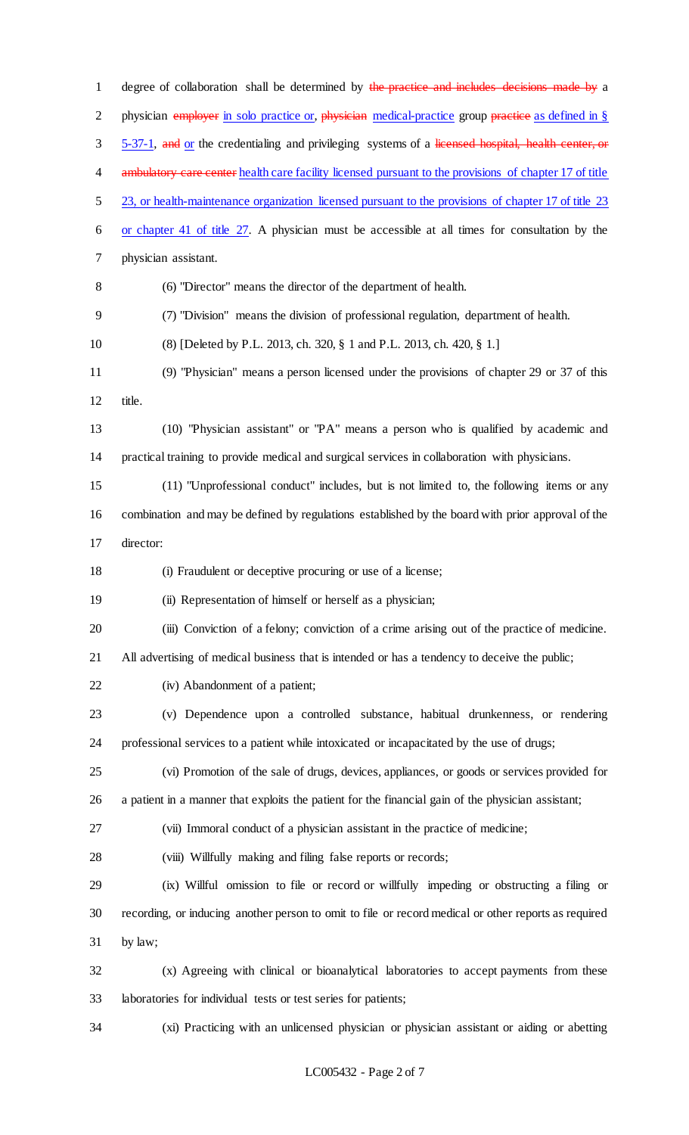1 degree of collaboration shall be determined by the practice and includes decisions made by a 2 physician employer in solo practice or, physician medical-practice group practice as defined in § 3 5-37-1, and or the credentialing and privileging systems of a licensed hospital, health center, or 4 ambulatory care center health care facility licensed pursuant to the provisions of chapter 17 of title 5 23, or health-maintenance organization licensed pursuant to the provisions of chapter 17 of title 23 or chapter 41 of title 27. A physician must be accessible at all times for consultation by the physician assistant. (6) "Director" means the director of the department of health. (7) "Division" means the division of professional regulation, department of health. (8) [Deleted by P.L. 2013, ch. 320, § 1 and P.L. 2013, ch. 420, § 1.] (9) "Physician" means a person licensed under the provisions of chapter 29 or 37 of this title. (10) "Physician assistant" or "PA" means a person who is qualified by academic and practical training to provide medical and surgical services in collaboration with physicians. (11) "Unprofessional conduct" includes, but is not limited to, the following items or any combination and may be defined by regulations established by the board with prior approval of the director: (i) Fraudulent or deceptive procuring or use of a license; (ii) Representation of himself or herself as a physician; (iii) Conviction of a felony; conviction of a crime arising out of the practice of medicine. All advertising of medical business that is intended or has a tendency to deceive the public; (iv) Abandonment of a patient; (v) Dependence upon a controlled substance, habitual drunkenness, or rendering professional services to a patient while intoxicated or incapacitated by the use of drugs; (vi) Promotion of the sale of drugs, devices, appliances, or goods or services provided for a patient in a manner that exploits the patient for the financial gain of the physician assistant; (vii) Immoral conduct of a physician assistant in the practice of medicine; (viii) Willfully making and filing false reports or records; (ix) Willful omission to file or record or willfully impeding or obstructing a filing or recording, or inducing another person to omit to file or record medical or other reports as required by law; (x) Agreeing with clinical or bioanalytical laboratories to accept payments from these laboratories for individual tests or test series for patients; (xi) Practicing with an unlicensed physician or physician assistant or aiding or abetting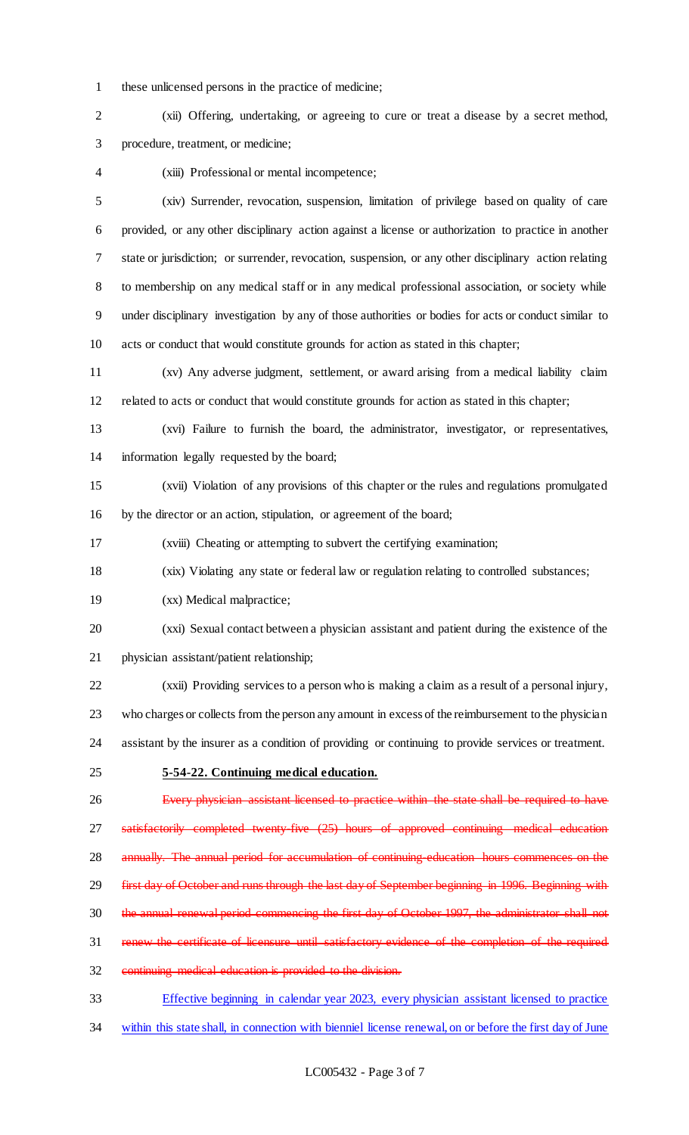these unlicensed persons in the practice of medicine;

 (xii) Offering, undertaking, or agreeing to cure or treat a disease by a secret method, procedure, treatment, or medicine;

(xiii) Professional or mental incompetence;

 (xiv) Surrender, revocation, suspension, limitation of privilege based on quality of care provided, or any other disciplinary action against a license or authorization to practice in another state or jurisdiction; or surrender, revocation, suspension, or any other disciplinary action relating to membership on any medical staff or in any medical professional association, or society while under disciplinary investigation by any of those authorities or bodies for acts or conduct similar to acts or conduct that would constitute grounds for action as stated in this chapter;

 (xv) Any adverse judgment, settlement, or award arising from a medical liability claim related to acts or conduct that would constitute grounds for action as stated in this chapter;

 (xvi) Failure to furnish the board, the administrator, investigator, or representatives, information legally requested by the board;

 (xvii) Violation of any provisions of this chapter or the rules and regulations promulgated by the director or an action, stipulation, or agreement of the board;

(xviii) Cheating or attempting to subvert the certifying examination;

(xix) Violating any state or federal law or regulation relating to controlled substances;

(xx) Medical malpractice;

 (xxi) Sexual contact between a physician assistant and patient during the existence of the physician assistant/patient relationship;

 (xxii) Providing services to a person who is making a claim as a result of a personal injury, who charges or collects from the person any amount in excess of the reimbursement to the physician

assistant by the insurer as a condition of providing or continuing to provide services or treatment.

**5-54-22. Continuing medical education.**

 Every physician assistant licensed to practice within the state shall be required to have satisfactorily completed twenty-five (25) hours of approved continuing medical education 28 annually. The annual period for accumulation of continuing education hours commences on the 29 first day of October and runs through the last day of September beginning in 1996. Beginning with the annual renewal period commencing the first day of October 1997, the administrator shall not 31 renew the certificate of licensure until satisfactory evidence of the completion of the required continuing medical education is provided to the division.

 Effective beginning in calendar year 2023, every physician assistant licensed to practice within this state shall, in connection with bienniel license renewal, on or before the first day of June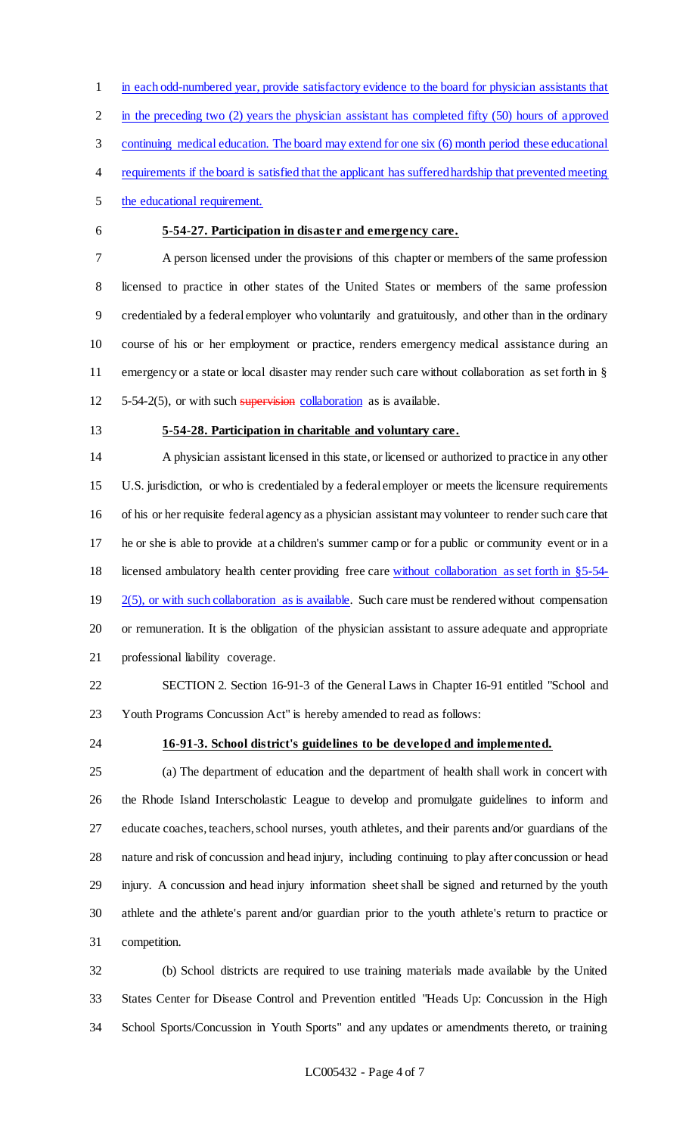in each odd-numbered year, provide satisfactory evidence to the board for physician assistants that

in the preceding two (2) years the physician assistant has completed fifty (50) hours of approved

continuing medical education. The board may extend for one six (6) month period these educational

- requirements if the board is satisfied that the applicant has suffered hardship that prevented meeting
- the educational requirement.
- 

### **5-54-27. Participation in disaster and emergency care.**

 A person licensed under the provisions of this chapter or members of the same profession licensed to practice in other states of the United States or members of the same profession credentialed by a federal employer who voluntarily and gratuitously, and other than in the ordinary course of his or her employment or practice, renders emergency medical assistance during an emergency or a state or local disaster may render such care without collaboration as set forth in §  $5-54-2(5)$ , or with such supervision collaboration as is available.

- -

### **5-54-28. Participation in charitable and voluntary care.**

 A physician assistant licensed in this state, or licensed or authorized to practice in any other U.S. jurisdiction, or who is credentialed by a federal employer or meets the licensure requirements of his or her requisite federal agency as a physician assistant may volunteer to render such care that he or she is able to provide at a children's summer camp or for a public or community event or in a licensed ambulatory health center providing free care without collaboration as set forth in §5-54-  $\frac{2(5)}{2(5)}$ , or with such collaboration as is available. Such care must be rendered without compensation or remuneration. It is the obligation of the physician assistant to assure adequate and appropriate professional liability coverage.

 SECTION 2. Section 16-91-3 of the General Laws in Chapter 16-91 entitled "School and Youth Programs Concussion Act" is hereby amended to read as follows:

### **16-91-3. School district's guidelines to be developed and implemented.**

 (a) The department of education and the department of health shall work in concert with the Rhode Island Interscholastic League to develop and promulgate guidelines to inform and educate coaches, teachers, school nurses, youth athletes, and their parents and/or guardians of the nature and risk of concussion and head injury, including continuing to play after concussion or head injury. A concussion and head injury information sheet shall be signed and returned by the youth athlete and the athlete's parent and/or guardian prior to the youth athlete's return to practice or competition.

 (b) School districts are required to use training materials made available by the United States Center for Disease Control and Prevention entitled "Heads Up: Concussion in the High School Sports/Concussion in Youth Sports" and any updates or amendments thereto, or training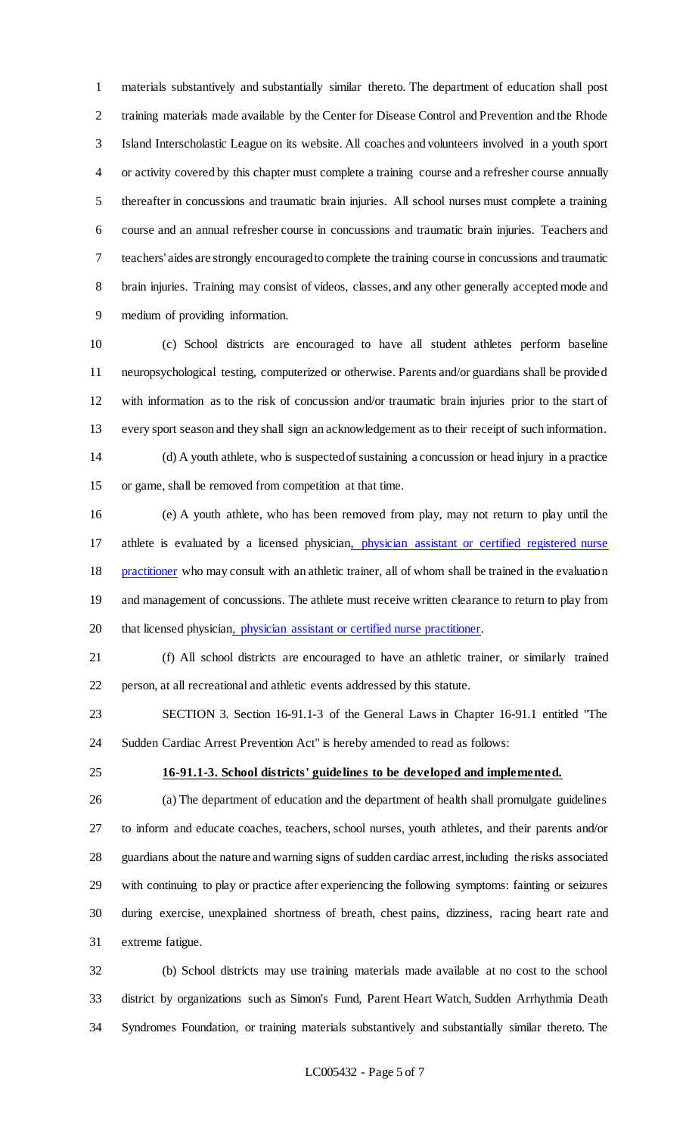materials substantively and substantially similar thereto. The department of education shall post training materials made available by the Center for Disease Control and Prevention and the Rhode Island Interscholastic League on its website. All coaches and volunteers involved in a youth sport or activity covered by this chapter must complete a training course and a refresher course annually thereafter in concussions and traumatic brain injuries. All school nurses must complete a training course and an annual refresher course in concussions and traumatic brain injuries. Teachers and teachers' aides are strongly encouraged to complete the training course in concussions and traumatic brain injuries. Training may consist of videos, classes, and any other generally accepted mode and medium of providing information.

 (c) School districts are encouraged to have all student athletes perform baseline neuropsychological testing, computerized or otherwise. Parents and/or guardians shall be provided with information as to the risk of concussion and/or traumatic brain injuries prior to the start of every sport season and they shall sign an acknowledgement as to their receipt of such information.

 (d) A youth athlete, who is suspected of sustaining a concussion or head injury in a practice or game, shall be removed from competition at that time.

 (e) A youth athlete, who has been removed from play, may not return to play until the athlete is evaluated by a licensed physician, physician assistant or certified registered nurse 18 practitioner who may consult with an athletic trainer, all of whom shall be trained in the evaluation and management of concussions. The athlete must receive written clearance to return to play from 20 that licensed physician, physician assistant or certified nurse practitioner.

 (f) All school districts are encouraged to have an athletic trainer, or similarly trained person, at all recreational and athletic events addressed by this statute.

 SECTION 3. Section 16-91.1-3 of the General Laws in Chapter 16-91.1 entitled "The Sudden Cardiac Arrest Prevention Act" is hereby amended to read as follows:

#### **16-91.1-3. School districts' guidelines to be developed and implemented.**

 (a) The department of education and the department of health shall promulgate guidelines to inform and educate coaches, teachers, school nurses, youth athletes, and their parents and/or guardians about the nature and warning signs of sudden cardiac arrest, including the risks associated with continuing to play or practice after experiencing the following symptoms: fainting or seizures during exercise, unexplained shortness of breath, chest pains, dizziness, racing heart rate and extreme fatigue.

 (b) School districts may use training materials made available at no cost to the school district by organizations such as Simon's Fund, Parent Heart Watch, Sudden Arrhythmia Death Syndromes Foundation, or training materials substantively and substantially similar thereto. The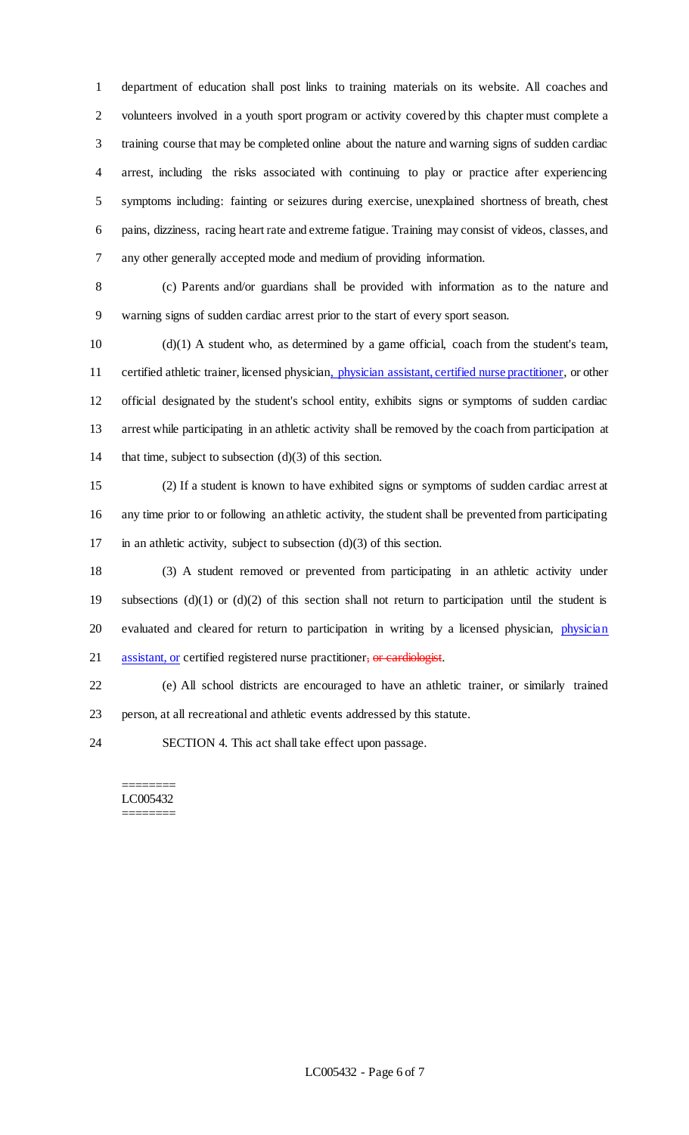department of education shall post links to training materials on its website. All coaches and volunteers involved in a youth sport program or activity covered by this chapter must complete a training course that may be completed online about the nature and warning signs of sudden cardiac arrest, including the risks associated with continuing to play or practice after experiencing symptoms including: fainting or seizures during exercise, unexplained shortness of breath, chest pains, dizziness, racing heart rate and extreme fatigue. Training may consist of videos, classes, and any other generally accepted mode and medium of providing information.

 (c) Parents and/or guardians shall be provided with information as to the nature and warning signs of sudden cardiac arrest prior to the start of every sport season.

 (d)(1) A student who, as determined by a game official, coach from the student's team, 11 certified athletic trainer, licensed physician, physician assistant, certified nurse practitioner, or other official designated by the student's school entity, exhibits signs or symptoms of sudden cardiac arrest while participating in an athletic activity shall be removed by the coach from participation at that time, subject to subsection (d)(3) of this section.

 (2) If a student is known to have exhibited signs or symptoms of sudden cardiac arrest at any time prior to or following an athletic activity, the student shall be prevented from participating 17 in an athletic activity, subject to subsection  $(d)(3)$  of this section.

 (3) A student removed or prevented from participating in an athletic activity under subsections (d)(1) or (d)(2) of this section shall not return to participation until the student is 20 evaluated and cleared for return to participation in writing by a licensed physician, physician 21 assistant, or certified registered nurse practitioner, or cardiologist.

 (e) All school districts are encouraged to have an athletic trainer, or similarly trained person, at all recreational and athletic events addressed by this statute.

SECTION 4. This act shall take effect upon passage.

#### ======== LC005432 ========